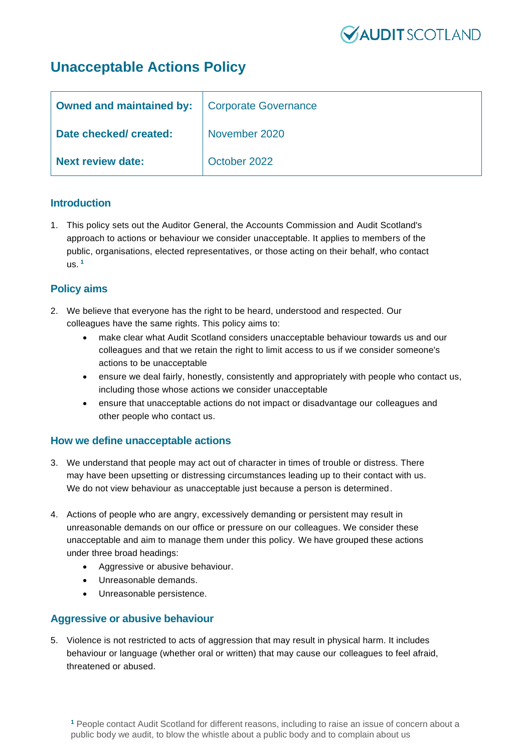

# **Unacceptable Actions Policy**

| <b>Owned and maintained by:</b>   Corporate Governance |               |
|--------------------------------------------------------|---------------|
| Date checked/ created:                                 | November 2020 |
| <b>Next review date:</b>                               | October 2022  |

## **Introduction**

1. This policy sets out the Auditor General, the Accounts Commission and Audit Scotland's approach to actions or behaviour we consider unacceptable. It applies to members of the public, organisations, elected representatives, or those acting on their behalf, who contact us. **<sup>1</sup>**

# **Policy aims**

- 2. We believe that everyone has the right to be heard, understood and respected. Our colleagues have the same rights. This policy aims to:
	- make clear what Audit Scotland considers unacceptable behaviour towards us and our colleagues and that we retain the right to limit access to us if we consider someone's actions to be unacceptable
	- ensure we deal fairly, honestly, consistently and appropriately with people who contact us, including those whose actions we consider unacceptable
	- ensure that unacceptable actions do not impact or disadvantage our colleagues and other people who contact us.

#### **How we define unacceptable actions**

- 3. We understand that people may act out of character in times of trouble or distress. There may have been upsetting or distressing circumstances leading up to their contact with us. We do not view behaviour as unacceptable just because a person is determined.
- 4. Actions of people who are angry, excessively demanding or persistent may result in unreasonable demands on our office or pressure on our colleagues. We consider these unacceptable and aim to manage them under this policy. We have grouped these actions under three broad headings:
	- Aggressive or abusive behaviour.
	- Unreasonable demands.
	- Unreasonable persistence.

# **Aggressive or abusive behaviour**

5. Violence is not restricted to acts of aggression that may result in physical harm. It includes behaviour or language (whether oral or written) that may cause our colleagues to feel afraid, threatened or abused.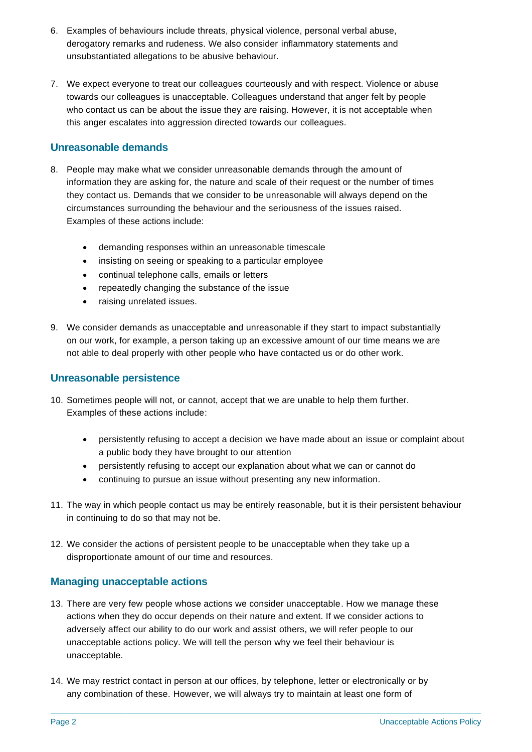- 6. Examples of behaviours include threats, physical violence, personal verbal abuse, derogatory remarks and rudeness. We also consider inflammatory statements and unsubstantiated allegations to be abusive behaviour.
- 7. We expect everyone to treat our colleagues courteously and with respect. Violence or abuse towards our colleagues is unacceptable. Colleagues understand that anger felt by people who contact us can be about the issue they are raising. However, it is not acceptable when this anger escalates into aggression directed towards our colleagues.

# **Unreasonable demands**

- 8. People may make what we consider unreasonable demands through the amount of information they are asking for, the nature and scale of their request or the number of times they contact us. Demands that we consider to be unreasonable will always depend on the circumstances surrounding the behaviour and the seriousness of the issues raised. Examples of these actions include:
	- demanding responses within an unreasonable timescale
	- insisting on seeing or speaking to a particular employee
	- continual telephone calls, emails or letters
	- repeatedly changing the substance of the issue
	- raising unrelated issues.
- 9. We consider demands as unacceptable and unreasonable if they start to impact substantially on our work, for example, a person taking up an excessive amount of our time means we are not able to deal properly with other people who have contacted us or do other work.

#### **Unreasonable persistence**

- 10. Sometimes people will not, or cannot, accept that we are unable to help them further. Examples of these actions include:
	- persistently refusing to accept a decision we have made about an issue or complaint about a public body they have brought to our attention
	- persistently refusing to accept our explanation about what we can or cannot do
	- continuing to pursue an issue without presenting any new information.
- 11. The way in which people contact us may be entirely reasonable, but it is their persistent behaviour in continuing to do so that may not be.
- 12. We consider the actions of persistent people to be unacceptable when they take up a disproportionate amount of our time and resources.

#### **Managing unacceptable actions**

- 13. There are very few people whose actions we consider unacceptable. How we manage these actions when they do occur depends on their nature and extent. If we consider actions to adversely affect our ability to do our work and assist others, we will refer people to our unacceptable actions policy. We will tell the person why we feel their behaviour is unacceptable.
- 14. We may restrict contact in person at our offices, by telephone, letter or electronically or by any combination of these. However, we will always try to maintain at least one form of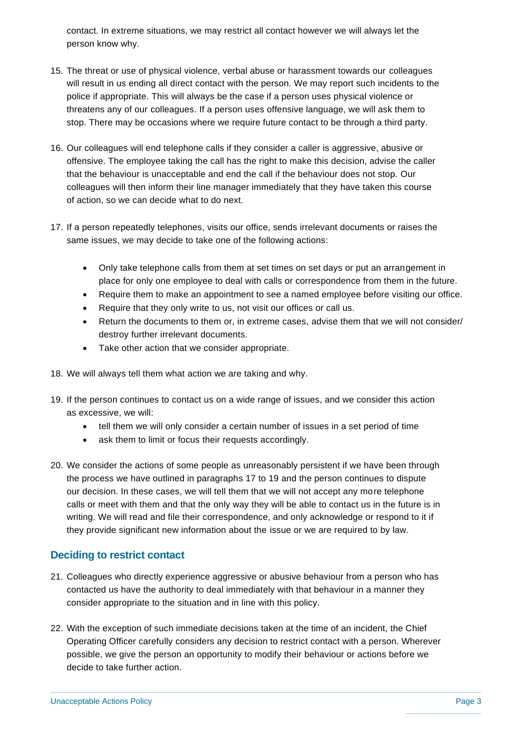contact. In extreme situations, we may restrict all contact however we will always let the person know why.

- 15. The threat or use of physical violence, verbal abuse or harassment towards our colleagues will result in us ending all direct contact with the person. We may report such incidents to the police if appropriate. This will always be the case if a person uses physical violence or threatens any of our colleagues. If a person uses offensive language, we will ask them to stop. There may be occasions where we require future contact to be through a third party.
- 16. Our colleagues will end telephone calls if they consider a caller is aggressive, abusive or offensive. The employee taking the call has the right to make this decision, advise the caller that the behaviour is unacceptable and end the call if the behaviour does not stop. Our colleagues will then inform their line manager immediately that they have taken this course of action, so we can decide what to do next.
- 17. If a person repeatedly telephones, visits our office, sends irrelevant documents or raises the same issues, we may decide to take one of the following actions:
	- Only take telephone calls from them at set times on set days or put an arrangement in place for only one employee to deal with calls or correspondence from them in the future.
	- Require them to make an appointment to see a named employee before visiting our office.
	- Require that they only write to us, not visit our offices or call us.
	- Return the documents to them or, in extreme cases, advise them that we will not consider/ destroy further irrelevant documents.
	- Take other action that we consider appropriate.
- 18. We will always tell them what action we are taking and why.
- 19. If the person continues to contact us on a wide range of issues, and we consider this action as excessive, we will:
	- tell them we will only consider a certain number of issues in a set period of time
	- ask them to limit or focus their requests accordingly.
- 20. We consider the actions of some people as unreasonably persistent if we have been through the process we have outlined in paragraphs 17 to 19 and the person continues to dispute our decision. In these cases, we will tell them that we will not accept any more telephone calls or meet with them and that the only way they will be able to contact us in the future is in writing. We will read and file their correspondence, and only acknowledge or respond to it if they provide significant new information about the issue or we are required to by law.

# **Deciding to restrict contact**

- 21. Colleagues who directly experience aggressive or abusive behaviour from a person who has contacted us have the authority to deal immediately with that behaviour in a manner they consider appropriate to the situation and in line with this policy.
- 22. With the exception of such immediate decisions taken at the time of an incident, the Chief Operating Officer carefully considers any decision to restrict contact with a person. Wherever possible, we give the person an opportunity to modify their behaviour or actions before we decide to take further action.